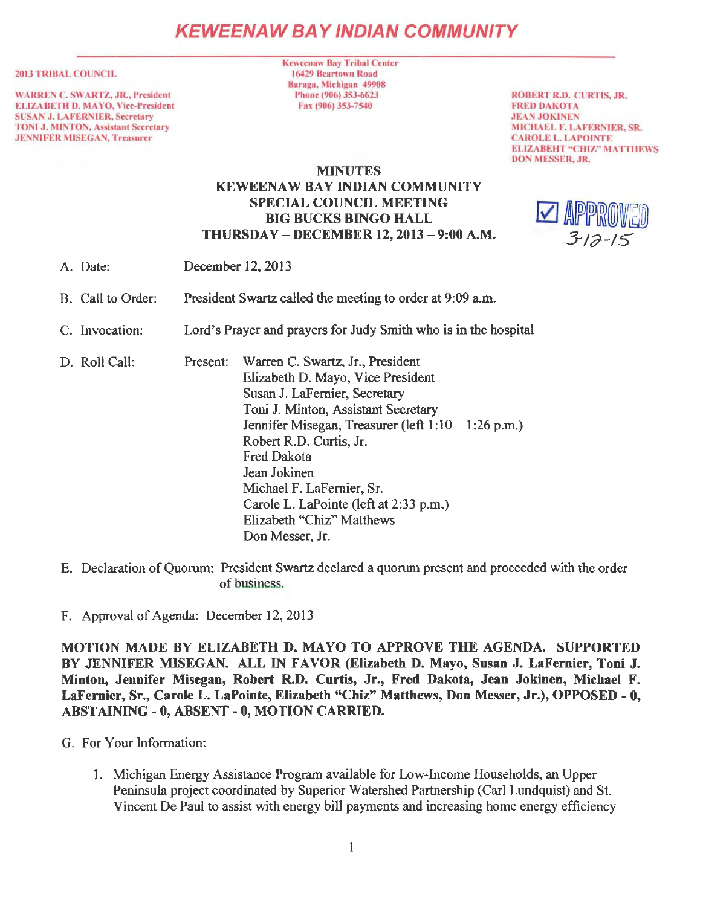# **KEWEENAW BAY IND/AN COMMUNITY**

#### 2013 TRIBAL COUNCIL

WARREN C. SWARTZ. JR., President ELIZABETH D. MAYO, Vice-President SUSAN J. LAFERNIER, Secretary TONI J. MINTON, Assistant Secretary JENNIFER MISEGAN, Treasurer

**Keweenaw Bay Tribal Center** 16429 Beartown Road Baraga, Michigan 49908 Phone (906) 353-6623 Fax (906) 353-7540

ROBERT R.D. CURTIS, JR. FRED DAKOTA **JEAN JOKINEN** MICHAEL F. LAFERNIER, SR. CAROLE L. LAPOINTE ELIZABEHT "CHIZ" MATTHEWS DON MESSER, JR.

# **MINUTES** KEWEENAW BAY INDIAN COMMUNITY SPECIAL COUNCIL MEETING BIG BUCKS BINGO HALL THURSDAY - DECEMBER 12, 2013 - 9:00 A.M.



- A. Date: December 12, 2013
- B. Call to Order: President Swartz called the meeting to order at 9:09 a.m.
- C. Invocation: Lord's Prayer and prayers for Judy Smith who is in the hospital
- D. Roll Call: Present: Warren C. Swartz, Jr., President Elizabeth D. Mayo, Vice President Susan J. LaFemier, Secretary Toni J. Minton, Assistant Secretary Jennifer Misegan, Treasurer (left  $1:10 - 1:26$  p.m.) Robert R.D. Curtis, Jr. Fred Dakota Jean Jokinen Michael F. LaFernier, Sr. Carole L. LaPointe (left at 2:33 p.m.) Elizabeth "Chiz" Matthews Don Messer, Jr.
- E. Declaration of Quorum: President Swartz declared a quorum present and proceeded with the order of business.
- F. Approval of Agenda: December 12, 2013

MOTION MADE BY ELIZABETH D. MAYO TO APPROVE THE AGENDA. SUPPORTED BY JENNIFER MISEGAN. ALL IN FAVOR (Elizabeth D. Mayo, Susan J. LaFernier, Toni J. Minton, Jennifer Misegan, Robert R.D. Curtis, Jr., Fred Dakota, Jean Jokinen, Michael F. LaFernier, Sr., Carole L. LaPointe, Elizabeth "Chiz" Matthews, Don Messer, Jr.), OPPOSED - O, ABSTAINING - 0, ABSENT - 0, MOTION CARRIED.

- G. For Your Information:
	- 1. Michigan Energy Assistance Program available for Low-Income Households, an Upper Peninsula project coordinated by Superior Watershed Partnership (Carl Lundquist) and St. Vincent De Paul to assist with energy bill payments and increasing home energy efficiency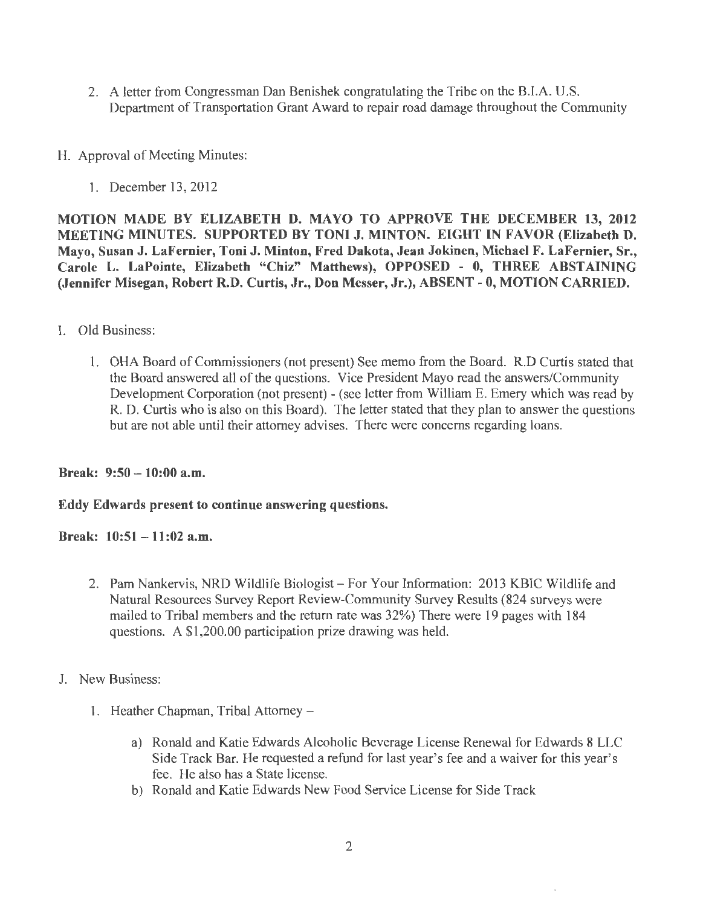- 2. A letter from Congressman Dan Benishek congratulating the Tribe on the BJ.A. U.S. Department of Transportation Grant Award to repair road damage throughout the Community
- H. Approval of Meeting Minutes:
	- 1. December 13, 2012

MOTION MADE BY ELIZABETH D. MA YO TO APPROVE THE DECEMBER 13, 2012 MEETING MINUTES. SUPPORTED BY TONI J. MINTON. EIGHT IN FAVOR (Elizabeth D. Mayo, Susan J. LaFernier, Toni J. Minton, Fred Dakota, Jean Jokinen, Michael F. LaFernier, Sr., Carole L. LaPointe, Elizabeth "Chiz" Matthews), OPPOSED - 0, THREE ABSTAINING (Jennifer Misegan, Robert R.D. Curtis, Jr., Don Messer, Jr.), ABSENT - O, MOTION CARRIED.

- I. Old Business:
	- l. OHA Board of Commissioners (not present) See memo from the Board. R.D Curtis stated that the Board answered all of the questions. Vice President Mayo read the answers/Community Development Corporation (not present) - (see letter from William E. Emery which was read by R. D. Curtis who is also on this Board). The letter stated that they plan to answer the questions but are not able until their attorney advises. There were concerns regarding loans.

Break: 9:50-10:00 a.m.

# Eddy Edwards present to continue answering questions.

Break: 10:51- 11:02 a.m.

- 2. Pam Nankervis, NRD Wildlife Biologist For Your Information: 2013 KBIC Wildlife and Natural Resources Survey Report Review-Community Survey Results (824 surveys were mailed to Tribal members and the return rate was 32%) There were 19 pages with 184 questions. A \$1,200.00 participation prize drawing was held.
- J. New Business:
	- l. Heather Chapman, Tribal Attorney
		- a) Ronald and Katie Edwards Alcoholic Beverage License Renewal for Edwards 8 LLC Side Track Bar. He requested a refund for last year's fee and a waiver for this year's fee. He also has a State license.
		- b) Ronald and Katie Edwards New Food Service License for Side Track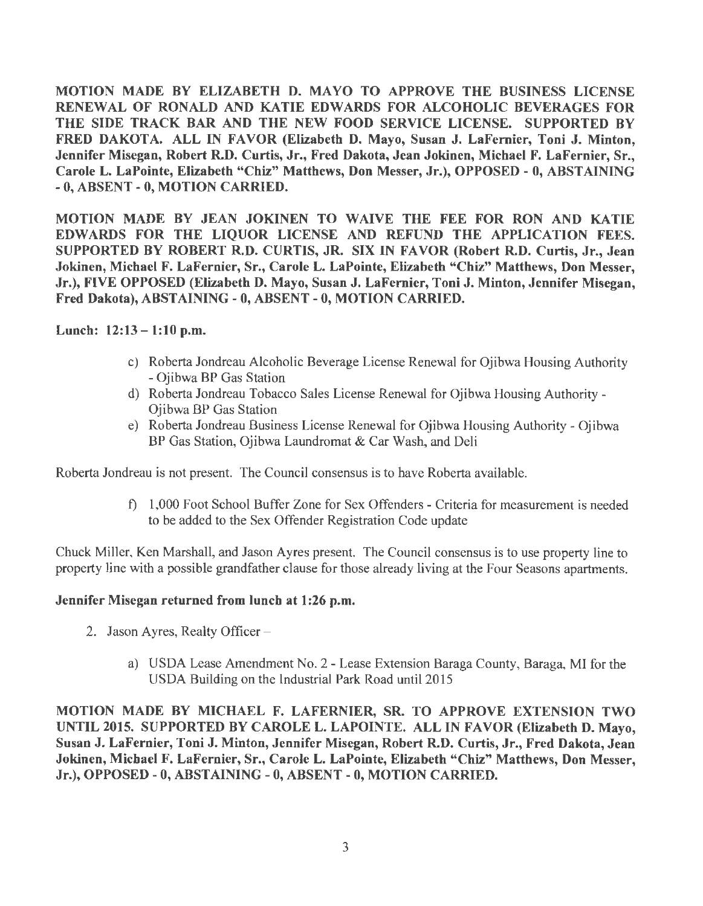MOTION MADE BY ELIZABETH D. MA YO TO APPROVE THE BUSINESS LICENSE RENEWAL OF RONALD AND KATIE EDWARDS FOR ALCOHOLIC BEVERAGES FOR THE SIDE TRACK BAR AND THE NEW FOOD SERVICE LICENSE. SUPPORTED BY FRED DAKOTA. ALL IN FAVOR (Elizabeth D. Mayo, Susan J. LaFernier, Toni J. Minton, Jennifer Misegan, Robert R.D. Curtis, Jr., Fred Dakota, Jean Jokinen, Michael F. LaFernier, Sr., Carole L. LaPointe, Elizabeth "Chiz" Matthews, Don Messer, Jr.), OPPOSED - 0, ABSTAINING - O, ABSENT - O, MOTION CARRIED.

MOTION MADE BY JEAN JOKINEN TO WAIVE THE FEE FOR RON AND KATIE EDWARDS FOR THE LIQUOR LICENSE AND REFUND THE APPLICATION FEES. SUPPORTED BY ROBERT R.D. CURTIS, JR. SIX IN FAVOR (Robert R.D. Curtis, Jr., Jean Jokinen, Michael F. LaFernier, Sr., Carole L. LaPointe, Elizabeth "Chiz" Matthews, Don Messer, Jr.), FIVE OPPOSED (Elizabeth D. Mayo, Susan J. LaFernier, Toni J. Minton, Jennifer Misegan, Fred Dakota), ABSTAINING - 0, ABSENT - 0, MOTION CARRIED.

# Lunch:  $12:13 - 1:10$  p.m.

- c) Roberta Jondreau Alcoholic Beverage License Renewal for Ojibwa Housing Authority - Ojibwa BP Gas Station
- d) Roberta Jondreau Tobacco Sales License Renewal for Ojibwa Housing Authority Ojibwa BP Gas Station
- e) Roberta Jondreau Business License Renewal for Ojibwa Housing Authority- Ojibwa BP Gas Station, Ojibwa Laundromat & Car Wash, and Deli

Roberta Jondreau is not present. The Council consensus is to have Roberta available.

f) 1,000 Foot School Buffer Zone for Sex Offenders - Criteria for measurement is needed to be added to the Sex Offender Registration Code update

Chuck Miller, Ken Marshall, and Jason Ayres present. The Council consensus is to use property line to property line with a possible grandfather clause for those already living at the Four Seasons apartments.

#### Jennifer Misegan returned from lunch at 1:26 p.m.

- 2. Jason Ayres, Realty Officer
	- a) USDA Lease Amendment No. 2 Lease Extension Baraga County, Baraga, MI for the USDA Building on the Industrial Park Road until 2015

MOTION MADE BY MICHAEL F. LAFERNIER, SR. TO APPROVE EXTENSION TWO UNTIL 2015. SUPPORTED BY CAROLE L. LAPOINTE. ALL IN FAVOR (Elizabeth D. Mayo, Susan J. LaFernier, Toni J. Minton, Jennifer Misegan, Robert R.D. Curtis, Jr., Fred Dakota, Jean Jokinen, Michael F. LaFernier, Sr., Carole L. LaPointe, Elizabeth "Chiz" Matthews, Don Messer, Jr.), OPPOSED-0, ABSTAINING-0, ABSENT-0, MOTION CARRIED.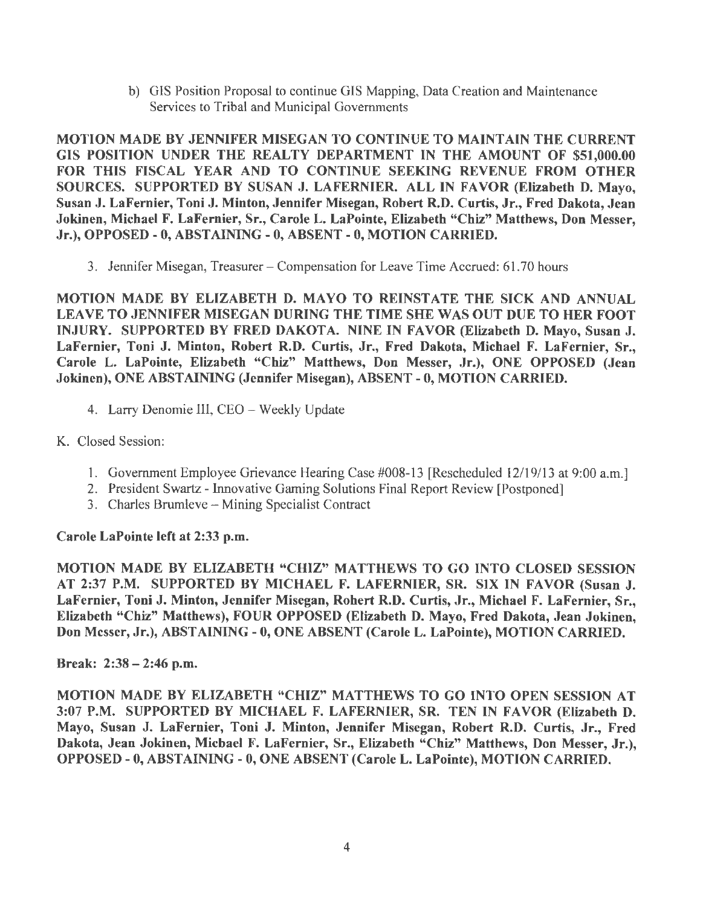b) GIS Position Proposal to continue GIS Mapping, Data Creation and Maintenance Services to Tribal and Municipal Governments

MOTION MADE BY JENNIFER MISEGAN TO CONTINUE TO MAINTAIN THE CURRENT GIS POSITION UNDER THE REALTY DEPARTMENT IN THE AMOUNT OF \$51,000.00 FOR THIS FISCAL YEAR AND TO CONTINUE SEEKING REVENUE FROM OTHER SOURCES. SUPPORTED BY SUSAN J. LAFERNIER. ALL IN FAVOR (Elizabeth D. Mayo, Susan J. LaFernier, Toni J. Minton, Jennifer Misegan, Robert R.D. Curtis, Jr., Fred Dakota, Jean Jokinen, Michael F. LaFernier, Sr., Carole L. LaPointe, Elizabeth "Chiz" Matthews, Don Messer, Jr.), OPPOSED-0, ABSTAINING-0, ABSENT-0, MOTION CARRIED.

3. Jennifer Misegan, Treasurer - Compensation for Leave Time Accrued: 61. 70 hours

MOTION MADE BY ELIZABETH D. MAYO TO REINSTATE THE SICK AND ANNUAL LEA VE TO JENNIFER MISEGAN DURING THE TIME SHE WAS OUT DUE TO HER FOOT INJURY. SUPPORTED BY FRED DAKOTA. NINE IN FAVOR (Elizabeth D. Mayo, Susan J. LaFernier, Toni J. Minton, Robert R.D. Curtis, Jr., Fred Dakota, Michael F. LaFernier, Sr., Carole L. LaPointe, Elizabeth "Chiz" Matthews, Don Messer, Jr.), ONE OPPOSED (Jean Jokinen), ONE ABSTAINING (Jennifer Misegan), ABSENT - 0, MOTION CARRIED.

- 4. Larry Denornie III, CEO- Weekly Update
- K. Closed Session:
	- 1. Government Employee Grievance Hearing Case #008-13 [Rescheduled 12/19/13 at 9:00 a.m.]
	- 2. President Swartz Innovative Gaming Solutions Final Report Review [Postponed]
	- 3. Charles Brumleve Mining Specialist Contract

# Carole LaPointe left at 2:33 p.m.

MOTION MADE BY ELIZABETH "CHIZ" MATTHEWS TO GO INTO CLOSED SESSION AT 2:37 P.M. SUPPORTED BY MICHAEL F. LAFERNIER, SR. SIX IN FAVOR (Susan J. LaFernier, Toni J. Minton, Jennifer Misegan, Robert R.D. Curtis, Jr., Michael F. LaFernier, Sr., Elizabeth "Chiz" Matthews), FOUR OPPOSED (Elizabeth D. Mayo, Fred Dakota, Jean Jokinen, Don Messer, Jr.), ABSTAINING - O, ONE ABSENT (Carole L. LaPointe), MOTION CARRIED.

Break: 2:38 - 2:46 p.m.

MOTION MADE BY ELIZABETH "CHIZ" MATTHEWS TO GO INTO OPEN SESSION AT 3:07 P.M. SUPPORTED BY MICHAEL F. LAFERNIER, SR. TEN IN FAVOR (Elizabeth D. Mayo, Susan J. LaFernier, Toni J. Minton, Jennifer Misegan, Robert R.D. Curtis, Jr., Fred Dakota, Jean Jokinen, Michael F. LaFernier, Sr., Elizabeth "Chiz" Matthews, Don Messer, Jr.), OPPOSED-0, ABSTAINING-0, ONE ABSENT (Carole L. LaPointe), MOTION CARRIED.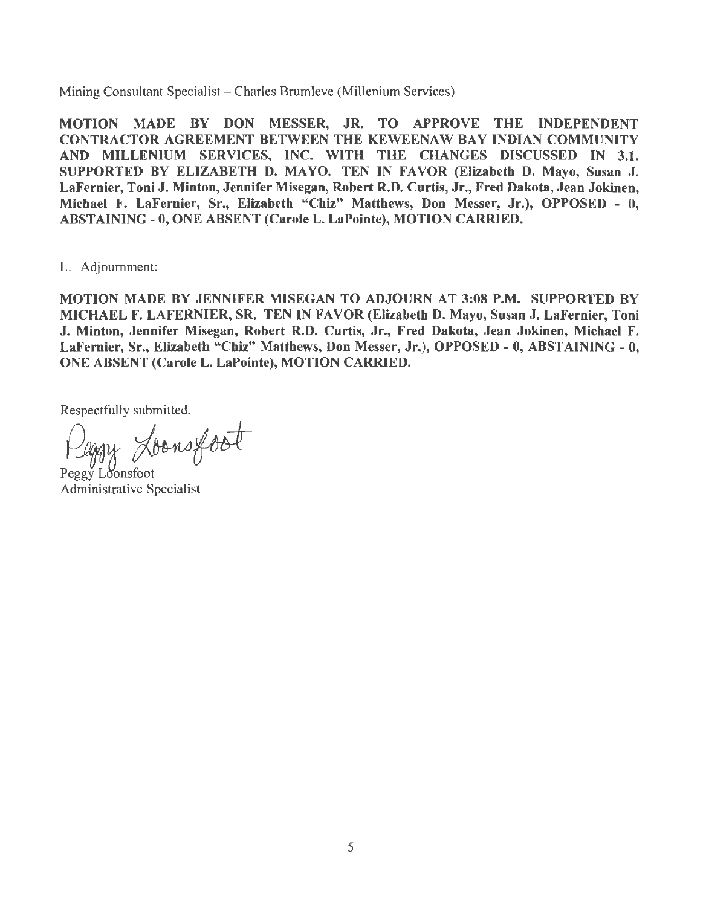Mining Consultant Specialist - Charles Brumleve (Millenium Services)

MOTION MADE BY DON MESSER, JR. TO APPROVE THE INDEPENDENT CONTRACTOR AGREEMENT BETWEEN THE KEWEENAW BAY INDIAN COMMUNITY AND MILLENIUM SERVICES, INC. WITH THE CHANGES DISCUSSED IN 3.1. SUPPORTED BY ELIZABETH D. MAYO. TEN IN FAVOR (Elizabeth D. Mayo, Susan J. LaFernier, Toni J. Minton, Jennifer Misegan, Robert R.D. Curtis, Jr., Fred Dakota, Jean Jokinen, Michael F. LaFernier, Sr., Elizabeth "Chiz" Matthews, Don Messer, Jr.), OPPOSED - 0, ABSTAINING - 0, ONE ABSENT (Carole L. LaPointe), MOTION CARRIED.

L. Adjournment:

MOTION MADE BY JENNIFER MISEGAN TO ADJOURN AT 3:08 P.M. SUPPORTED BY MICHAEL F. LAFERNIER, SR. TEN IN FAVOR (Elizabeth D. Mayo, Susan J. LaFernier, Toni J. Minton, Jennifer Misegan, Robert R.D. Curtis, Jr., Fred Dakota, Jean Jokinen, Michael F. LaFernier, Sr., Elizabeth "Chiz" Matthews, Don Messer, Jr.), OPPOSED - O, ABSTAINING - 0, ONE ABSENT (Carole L. LaPointe), MOTION CARRIED.

Respectfully submitted,

Kegy Loonsfoot

Administrative Specialist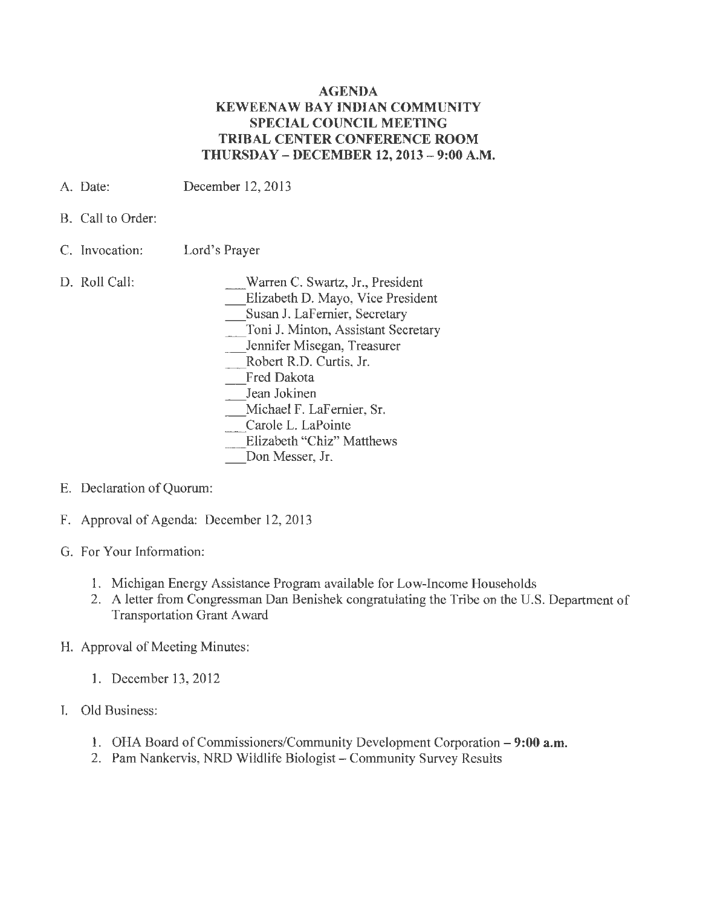#### **AGENDA KEWEENAW BAY INDIAN COMMUNITY SPECIAL COUNCIL MEETING TRIBAL CENTER CONFERENCE ROOM THURSDAY - DECEMBER 12, 2013 - 9:00 A.M.**

- A. Date: December 12, 2013
- B. Call to Order:
- C. Invocation: Lord's Prayer
- D. Roll Call:

\_Warren C. Swartz, Jr., President \_ Elizabeth D. Mayo, Vice President Susan J. LaFernier, Secretary \_Toni J. Minton, Assistant Secretary Jennifer Misegan, Treasurer \_Robert R.D. Curtis, Jr. Fred Dakota Jean Jokinen \_ Michael F. LaFernier, Sr. Carole L. LaPointe Elizabeth "Chiz" Matthews Don Messer, Jr.

- E. Declaration of Quorum:
- F. Approval of Agenda: December 12, 2013
- G. For Your Information:
	- 1. Michigan Energy Assistance Program available for Low-Income Households
	- 2. A letter from Congressman Dan Benishek congratulating the Tribe on the U.S. Department of **Transportation Grant Award**
- H. Approval of Meeting Minutes:
	- 1. December 13, 2012
- I. Old Business:
	- 1. OHA Board of Commissioners/Community Development Corporation **9:00 a.m.**
	- 2. Pam Nankervis, NRD Wildlife Biologist Community Survey Results